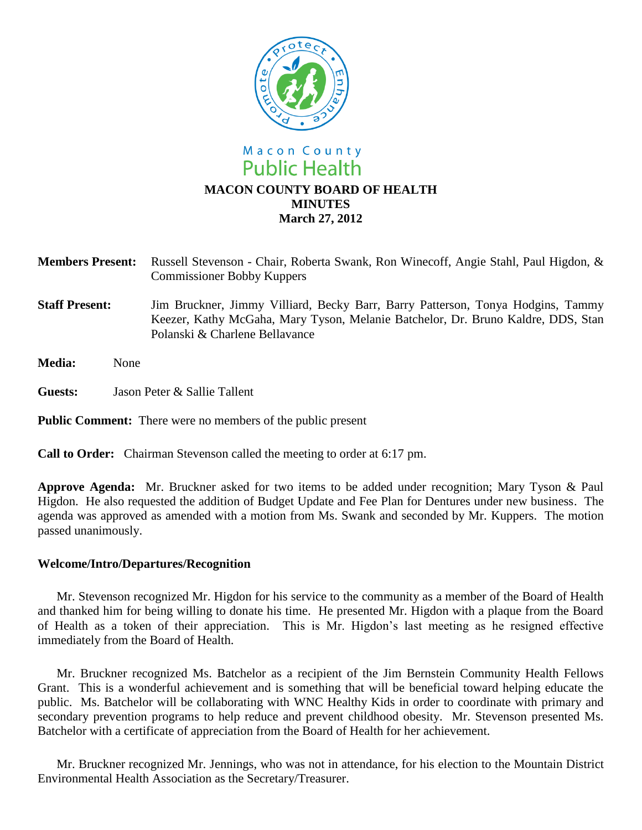

# **Members Present:** Russell Stevenson - Chair, Roberta Swank, Ron Winecoff, Angie Stahl, Paul Higdon, & Commissioner Bobby Kuppers

**March 27, 2012**

- **Staff Present:** Jim Bruckner, Jimmy Villiard, Becky Barr, Barry Patterson, Tonya Hodgins, Tammy Keezer, Kathy McGaha, Mary Tyson, Melanie Batchelor, Dr. Bruno Kaldre, DDS, Stan Polanski & Charlene Bellavance
- **Media:** None
- **Guests:** Jason Peter & Sallie Tallent

**Public Comment:** There were no members of the public present

**Call to Order:** Chairman Stevenson called the meeting to order at 6:17 pm.

**Approve Agenda:** Mr. Bruckner asked for two items to be added under recognition; Mary Tyson & Paul Higdon. He also requested the addition of Budget Update and Fee Plan for Dentures under new business. The agenda was approved as amended with a motion from Ms. Swank and seconded by Mr. Kuppers. The motion passed unanimously.

### **Welcome/Intro/Departures/Recognition**

Mr. Stevenson recognized Mr. Higdon for his service to the community as a member of the Board of Health and thanked him for being willing to donate his time. He presented Mr. Higdon with a plaque from the Board of Health as a token of their appreciation. This is Mr. Higdon's last meeting as he resigned effective immediately from the Board of Health.

Mr. Bruckner recognized Ms. Batchelor as a recipient of the Jim Bernstein Community Health Fellows Grant. This is a wonderful achievement and is something that will be beneficial toward helping educate the public. Ms. Batchelor will be collaborating with WNC Healthy Kids in order to coordinate with primary and secondary prevention programs to help reduce and prevent childhood obesity. Mr. Stevenson presented Ms. Batchelor with a certificate of appreciation from the Board of Health for her achievement.

Mr. Bruckner recognized Mr. Jennings, who was not in attendance, for his election to the Mountain District Environmental Health Association as the Secretary/Treasurer.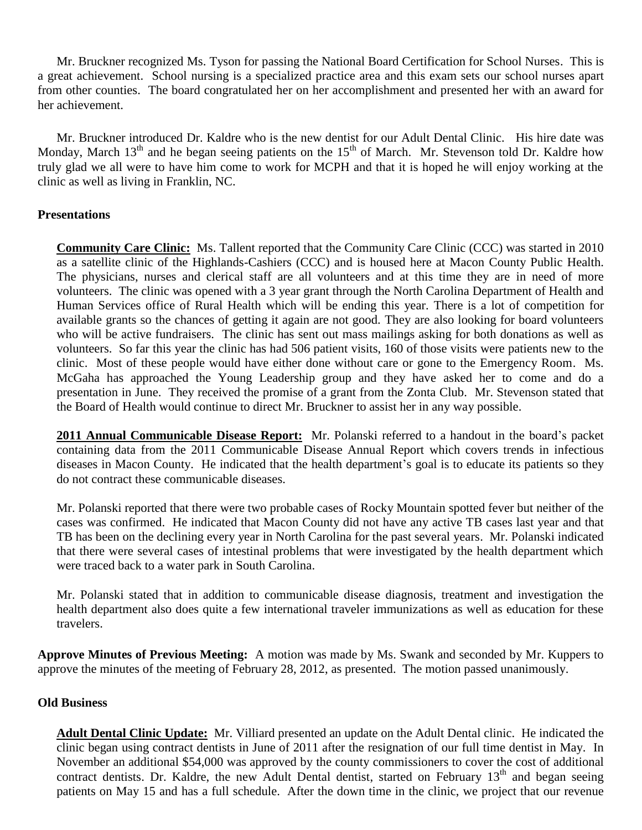Mr. Bruckner recognized Ms. Tyson for passing the National Board Certification for School Nurses. This is a great achievement. School nursing is a specialized practice area and this exam sets our school nurses apart from other counties. The board congratulated her on her accomplishment and presented her with an award for her achievement.

Mr. Bruckner introduced Dr. Kaldre who is the new dentist for our Adult Dental Clinic. His hire date was Monday, March  $13<sup>th</sup>$  and he began seeing patients on the  $15<sup>th</sup>$  of March. Mr. Stevenson told Dr. Kaldre how truly glad we all were to have him come to work for MCPH and that it is hoped he will enjoy working at the clinic as well as living in Franklin, NC.

## **Presentations**

**Community Care Clinic:** Ms. Tallent reported that the Community Care Clinic (CCC) was started in 2010 as a satellite clinic of the Highlands-Cashiers (CCC) and is housed here at Macon County Public Health. The physicians, nurses and clerical staff are all volunteers and at this time they are in need of more volunteers. The clinic was opened with a 3 year grant through the North Carolina Department of Health and Human Services office of Rural Health which will be ending this year. There is a lot of competition for available grants so the chances of getting it again are not good. They are also looking for board volunteers who will be active fundraisers. The clinic has sent out mass mailings asking for both donations as well as volunteers. So far this year the clinic has had 506 patient visits, 160 of those visits were patients new to the clinic. Most of these people would have either done without care or gone to the Emergency Room. Ms. McGaha has approached the Young Leadership group and they have asked her to come and do a presentation in June. They received the promise of a grant from the Zonta Club. Mr. Stevenson stated that the Board of Health would continue to direct Mr. Bruckner to assist her in any way possible.

**2011 Annual Communicable Disease Report:** Mr. Polanski referred to a handout in the board's packet containing data from the 2011 Communicable Disease Annual Report which covers trends in infectious diseases in Macon County. He indicated that the health department's goal is to educate its patients so they do not contract these communicable diseases.

Mr. Polanski reported that there were two probable cases of Rocky Mountain spotted fever but neither of the cases was confirmed. He indicated that Macon County did not have any active TB cases last year and that TB has been on the declining every year in North Carolina for the past several years. Mr. Polanski indicated that there were several cases of intestinal problems that were investigated by the health department which were traced back to a water park in South Carolina.

Mr. Polanski stated that in addition to communicable disease diagnosis, treatment and investigation the health department also does quite a few international traveler immunizations as well as education for these travelers.

**Approve Minutes of Previous Meeting:** A motion was made by Ms. Swank and seconded by Mr. Kuppers to approve the minutes of the meeting of February 28, 2012, as presented. The motion passed unanimously.

### **Old Business**

**Adult Dental Clinic Update:** Mr. Villiard presented an update on the Adult Dental clinic. He indicated the clinic began using contract dentists in June of 2011 after the resignation of our full time dentist in May. In November an additional \$54,000 was approved by the county commissioners to cover the cost of additional contract dentists. Dr. Kaldre, the new Adult Dental dentist, started on February  $13<sup>th</sup>$  and began seeing patients on May 15 and has a full schedule. After the down time in the clinic, we project that our revenue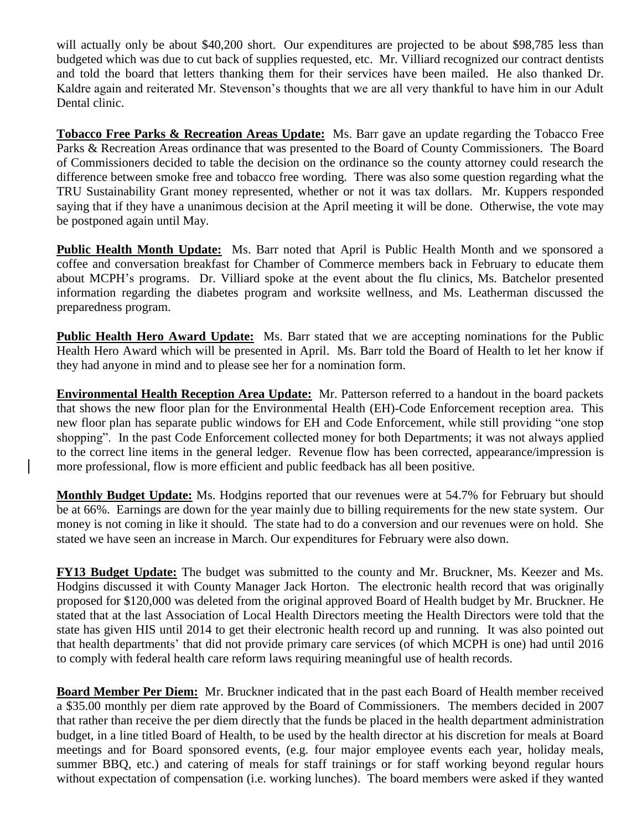will actually only be about \$40,200 short. Our expenditures are projected to be about \$98,785 less than budgeted which was due to cut back of supplies requested, etc. Mr. Villiard recognized our contract dentists and told the board that letters thanking them for their services have been mailed. He also thanked Dr. Kaldre again and reiterated Mr. Stevenson's thoughts that we are all very thankful to have him in our Adult Dental clinic.

**Tobacco Free Parks & Recreation Areas Update:** Ms. Barr gave an update regarding the Tobacco Free Parks & Recreation Areas ordinance that was presented to the Board of County Commissioners. The Board of Commissioners decided to table the decision on the ordinance so the county attorney could research the difference between smoke free and tobacco free wording. There was also some question regarding what the TRU Sustainability Grant money represented, whether or not it was tax dollars. Mr. Kuppers responded saying that if they have a unanimous decision at the April meeting it will be done. Otherwise, the vote may be postponed again until May.

**Public Health Month Update:** Ms. Barr noted that April is Public Health Month and we sponsored a coffee and conversation breakfast for Chamber of Commerce members back in February to educate them about MCPH's programs. Dr. Villiard spoke at the event about the flu clinics, Ms. Batchelor presented information regarding the diabetes program and worksite wellness, and Ms. Leatherman discussed the preparedness program.

**Public Health Hero Award Update:** Ms. Barr stated that we are accepting nominations for the Public Health Hero Award which will be presented in April. Ms. Barr told the Board of Health to let her know if they had anyone in mind and to please see her for a nomination form.

**Environmental Health Reception Area Update:** Mr. Patterson referred to a handout in the board packets that shows the new floor plan for the Environmental Health (EH)-Code Enforcement reception area. This new floor plan has separate public windows for EH and Code Enforcement, while still providing "one stop shopping". In the past Code Enforcement collected money for both Departments; it was not always applied to the correct line items in the general ledger. Revenue flow has been corrected, appearance/impression is more professional, flow is more efficient and public feedback has all been positive.

**Monthly Budget Update:** Ms. Hodgins reported that our revenues were at 54.7% for February but should be at 66%. Earnings are down for the year mainly due to billing requirements for the new state system. Our money is not coming in like it should. The state had to do a conversion and our revenues were on hold. She stated we have seen an increase in March. Our expenditures for February were also down.

**FY13 Budget Update:** The budget was submitted to the county and Mr. Bruckner, Ms. Keezer and Ms. Hodgins discussed it with County Manager Jack Horton. The electronic health record that was originally proposed for \$120,000 was deleted from the original approved Board of Health budget by Mr. Bruckner. He stated that at the last Association of Local Health Directors meeting the Health Directors were told that the state has given HIS until 2014 to get their electronic health record up and running. It was also pointed out that health departments' that did not provide primary care services (of which MCPH is one) had until 2016 to comply with federal health care reform laws requiring meaningful use of health records.

**Board Member Per Diem:** Mr. Bruckner indicated that in the past each Board of Health member received a \$35.00 monthly per diem rate approved by the Board of Commissioners. The members decided in 2007 that rather than receive the per diem directly that the funds be placed in the health department administration budget, in a line titled Board of Health, to be used by the health director at his discretion for meals at Board meetings and for Board sponsored events, (e.g. four major employee events each year, holiday meals, summer BBQ, etc.) and catering of meals for staff trainings or for staff working beyond regular hours without expectation of compensation (i.e. working lunches). The board members were asked if they wanted